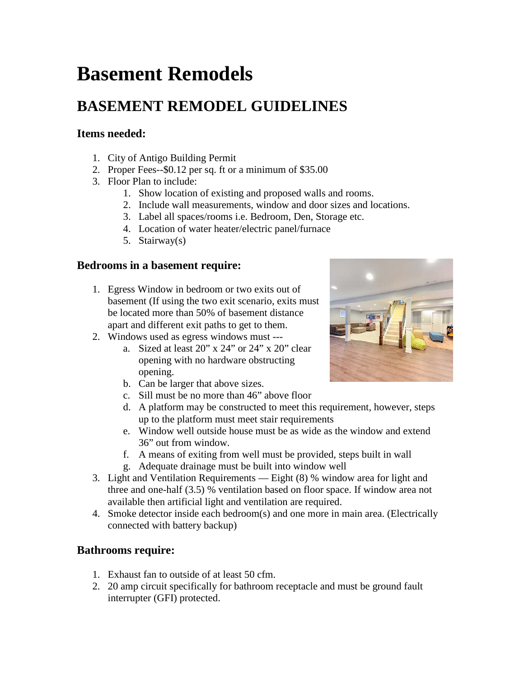# **Basement Remodels**

## **BASEMENT REMODEL GUIDELINES**

#### **Items needed:**

- 1. City of Antigo Building Permit
- 2. Proper Fees--\$0.12 per sq. ft or a minimum of \$35.00
- 3. Floor Plan to include:
	- 1. Show location of existing and proposed walls and rooms.
	- 2. Include wall measurements, window and door sizes and locations.
	- 3. Label all spaces/rooms i.e. Bedroom, Den, Storage etc.
	- 4. Location of water heater/electric panel/furnace
	- 5. Stairway(s)

#### **Bedrooms in a basement require:**

- 1. Egress Window in bedroom or two exits out of basement (If using the two exit scenario, exits must be located more than 50% of basement distance apart and different exit paths to get to them.
- 2. Windows used as egress windows must --
	- a. Sized at least 20" x 24" or 24" x 20" clear opening with no hardware obstructing opening.
	- b. Can be larger that above sizes.
	- c. Sill must be no more than 46" above floor
	- d. A platform may be constructed to meet this requirement, however, steps up to the platform must meet stair requirements
	- e. Window well outside house must be as wide as the window and extend 36" out from window.
	- f. A means of exiting from well must be provided, steps built in wall
	- g. Adequate drainage must be built into window well
- 3. Light and Ventilation Requirements Eight (8) % window area for light and three and one-half (3.5) % ventilation based on floor space. If window area not available then artificial light and ventilation are required.
- 4. Smoke detector inside each bedroom(s) and one more in main area. (Electrically connected with battery backup)

### **Bathrooms require:**

- 1. Exhaust fan to outside of at least 50 cfm.
- 2. 20 amp circuit specifically for bathroom receptacle and must be ground fault interrupter (GFI) protected.